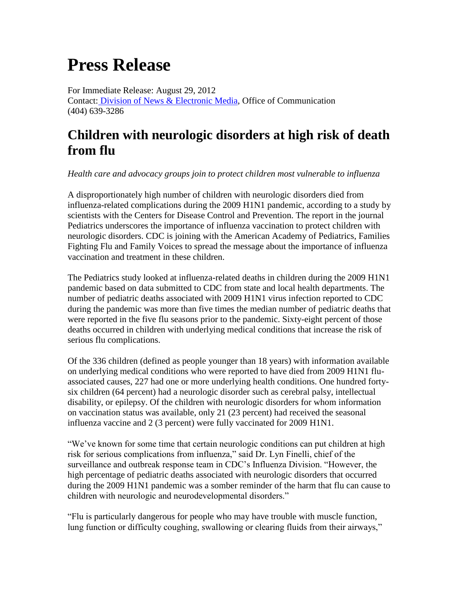# **Press Release**

For Immediate Release: August 29, 2012 Contact: [Division of News & Electronic Media,](http://www.cdc.gov/media) Office of Communication (404) 639-3286

## **Children with neurologic disorders at high risk of death from flu**

*Health care and advocacy groups join to protect children most vulnerable to influenza*

A disproportionately high number of children with neurologic disorders died from influenza-related complications during the 2009 H1N1 pandemic, according to a study by scientists with the Centers for Disease Control and Prevention. The report in the journal Pediatrics underscores the importance of influenza vaccination to protect children with neurologic disorders. CDC is joining with the American Academy of Pediatrics, Families Fighting Flu and Family Voices to spread the message about the importance of influenza vaccination and treatment in these children.

The Pediatrics study looked at influenza-related deaths in children during the 2009 H1N1 pandemic based on data submitted to CDC from state and local health departments. The number of pediatric deaths associated with 2009 H1N1 virus infection reported to CDC during the pandemic was more than five times the median number of pediatric deaths that were reported in the five flu seasons prior to the pandemic. Sixty-eight percent of those deaths occurred in children with underlying medical conditions that increase the risk of serious flu complications.

Of the 336 children (defined as people younger than 18 years) with information available on underlying medical conditions who were reported to have died from 2009 H1N1 fluassociated causes, 227 had one or more underlying health conditions. One hundred fortysix children (64 percent) had a neurologic disorder such as cerebral palsy, intellectual disability, or epilepsy. Of the children with neurologic disorders for whom information on vaccination status was available, only 21 (23 percent) had received the seasonal influenza vaccine and 2 (3 percent) were fully vaccinated for 2009 H1N1.

"We've known for some time that certain neurologic conditions can put children at high risk for serious complications from influenza," said Dr. Lyn Finelli, chief of the surveillance and outbreak response team in CDC's Influenza Division. "However, the high percentage of pediatric deaths associated with neurologic disorders that occurred during the 2009 H1N1 pandemic was a somber reminder of the harm that flu can cause to children with neurologic and neurodevelopmental disorders."

"Flu is particularly dangerous for people who may have trouble with muscle function, lung function or difficulty coughing, swallowing or clearing fluids from their airways,"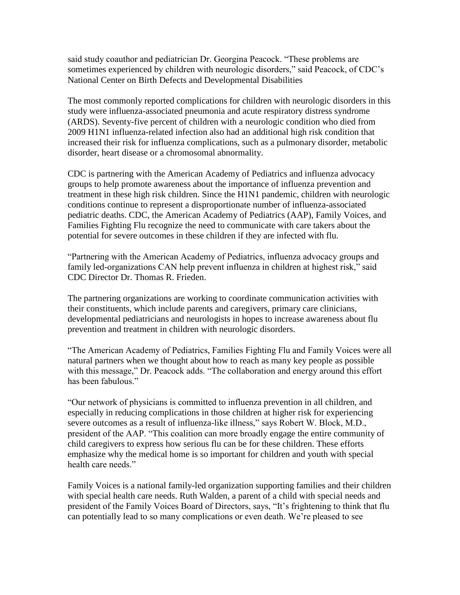said study coauthor and pediatrician Dr. Georgina Peacock. "These problems are sometimes experienced by children with neurologic disorders," said Peacock, of CDC's National Center on Birth Defects and Developmental Disabilities

The most commonly reported complications for children with neurologic disorders in this study were influenza-associated pneumonia and acute respiratory distress syndrome (ARDS). Seventy-five percent of children with a neurologic condition who died from 2009 H1N1 influenza-related infection also had an additional high risk condition that increased their risk for influenza complications, such as a pulmonary disorder, metabolic disorder, heart disease or a chromosomal abnormality.

CDC is partnering with the American Academy of Pediatrics and influenza advocacy groups to help promote awareness about the importance of influenza prevention and treatment in these high risk children. Since the H1N1 pandemic, children with neurologic conditions continue to represent a disproportionate number of influenza-associated pediatric deaths. CDC, the American Academy of Pediatrics (AAP), Family Voices, and Families Fighting Flu recognize the need to communicate with care takers about the potential for severe outcomes in these children if they are infected with flu.

"Partnering with the American Academy of Pediatrics, influenza advocacy groups and family led-organizations CAN help prevent influenza in children at highest risk," said CDC Director Dr. Thomas R. Frieden.

The partnering organizations are working to coordinate communication activities with their constituents, which include parents and caregivers, primary care clinicians, developmental pediatricians and neurologists in hopes to increase awareness about flu prevention and treatment in children with neurologic disorders.

"The American Academy of Pediatrics, Families Fighting Flu and Family Voices were all natural partners when we thought about how to reach as many key people as possible with this message," Dr. Peacock adds. "The collaboration and energy around this effort has been fabulous."

"Our network of physicians is committed to influenza prevention in all children, and especially in reducing complications in those children at higher risk for experiencing severe outcomes as a result of influenza-like illness," says Robert W. Block, M.D., president of the AAP. "This coalition can more broadly engage the entire community of child caregivers to express how serious flu can be for these children. These efforts emphasize why the medical home is so important for children and youth with special health care needs."

Family Voices is a national family-led organization supporting families and their children with special health care needs. Ruth Walden, a parent of a child with special needs and president of the Family Voices Board of Directors, says, "It's frightening to think that flu can potentially lead to so many complications or even death. We're pleased to see